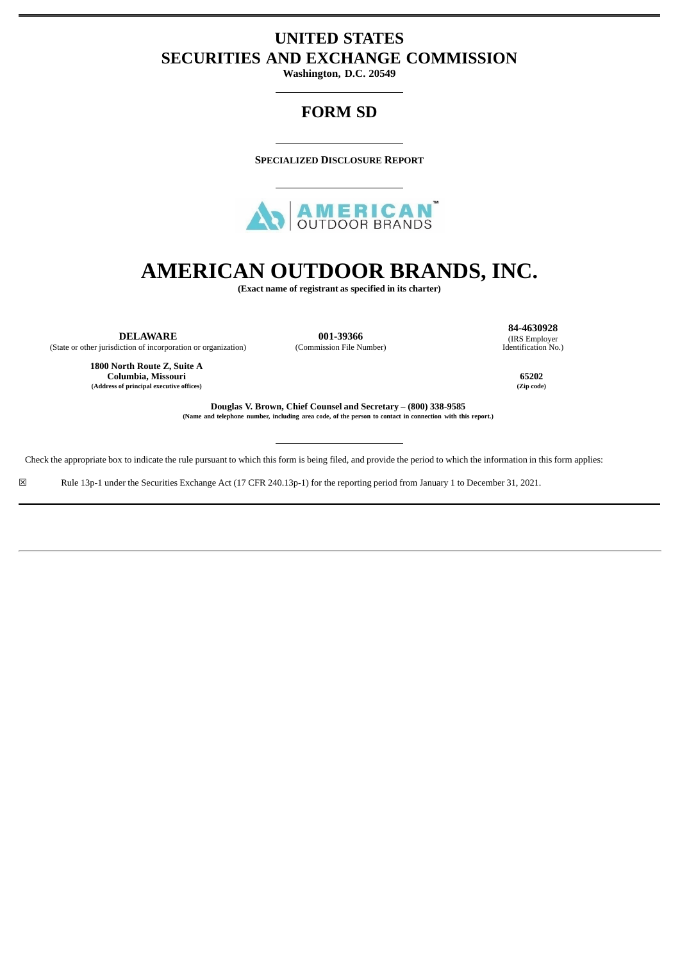# **UNITED STATES SECURITIES AND EXCHANGE COMMISSION**

**Washington, D.C. 20549**

# **FORM SD**

**SPECIALIZED DISCLOSURE REPORT**



# **AMERICAN OUTDOOR BRANDS, INC.**

**(Exact name of registrant as specified in its charter)**

**DELAWARE** (State or other jurisdiction of incorporation or organization)

**001-39366** (Commission File Number)

**84-4630928** (IRS Employer Identification No.)

**1800 North Route Z, Suite A Columbia, Missouri 65202 (Address of principal executive offices) (Zip code)**

**Douglas V. Brown, Chief Counsel and Secretary – (800) 338-9585** (Name and telephone number, including area code, of the person to contact in connection with this report.)

Check the appropriate box to indicate the rule pursuant to which this form is being filed, and provide the period to which the information in this form applies:

☒ Rule 13p-1 under the Securities Exchange Act (17 CFR 240.13p-1) for the reporting period from January 1 to December 31, 2021.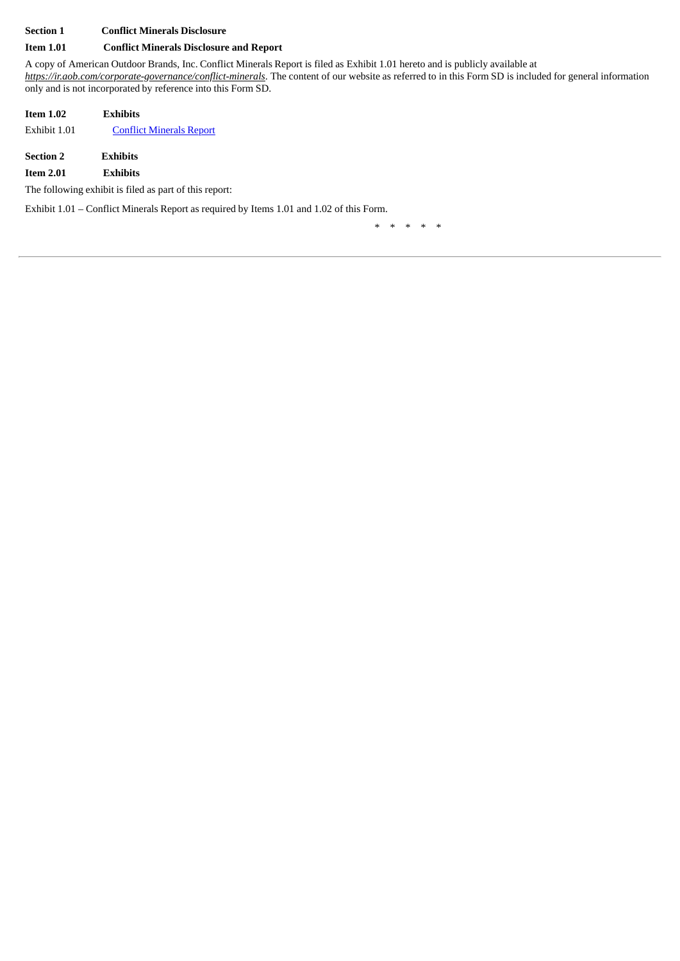## **Section 1 Conflict Minerals Disclosure**

#### **Item 1.01 Conflict Minerals Disclosure and Report**

A copy of American Outdoor Brands, Inc. Conflict Minerals Report is filed as Exhibit 1.01 hereto and is publicly available at *https://ir.aob.com/corporate-governance/conflict-minerals*. The content of our website as referred to in this Form SD is included for general information only and is not incorporated by reference into this Form SD.

| <b>Item 1.02</b> | <b>Exhibits</b>                 |
|------------------|---------------------------------|
| Exhibit 1.01     | <b>Conflict Minerals Report</b> |
| <b>Section 2</b> | <b>Exhibits</b>                 |

**Item 2.01 Exhibits**

The following exhibit is filed as part of this report:

Exhibit 1.01 – Conflict Minerals Report as required by Items 1.01 and 1.02 of this Form.

\* \* \* \* \*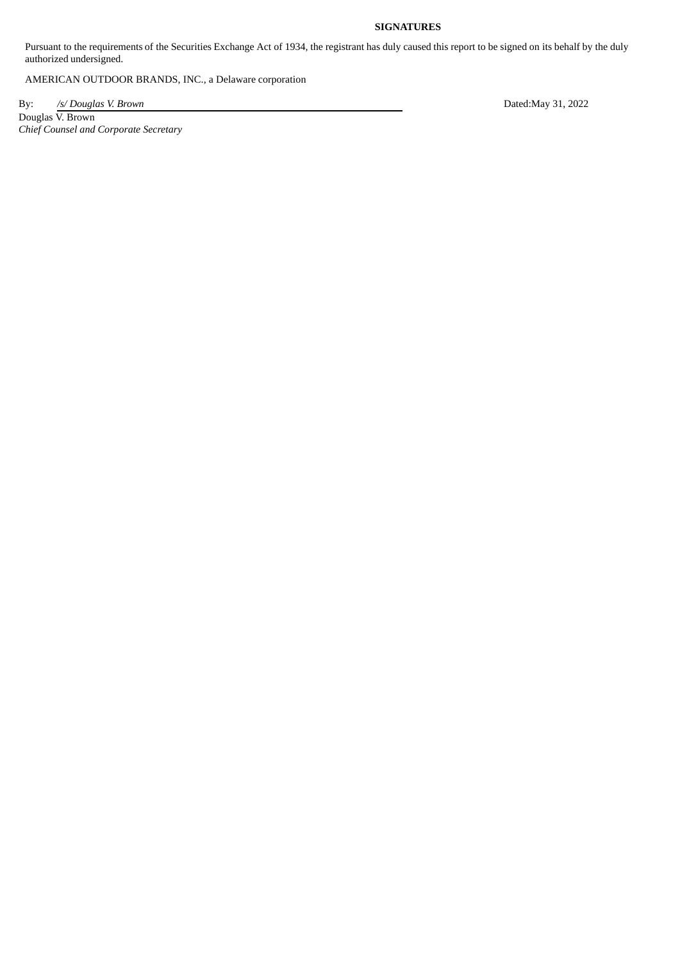## **SIGNATURES**

Pursuant to the requirements of the Securities Exchange Act of 1934, the registrant has duly caused this report to be signed on its behalf by the duly authorized undersigned.

AMERICAN OUTDOOR BRANDS, INC., a Delaware corporation

By: */s/ Douglas V. Brown* Dated:May 31, 2022

Douglas V. Brown *Chief Counsel and Corporate Secretary*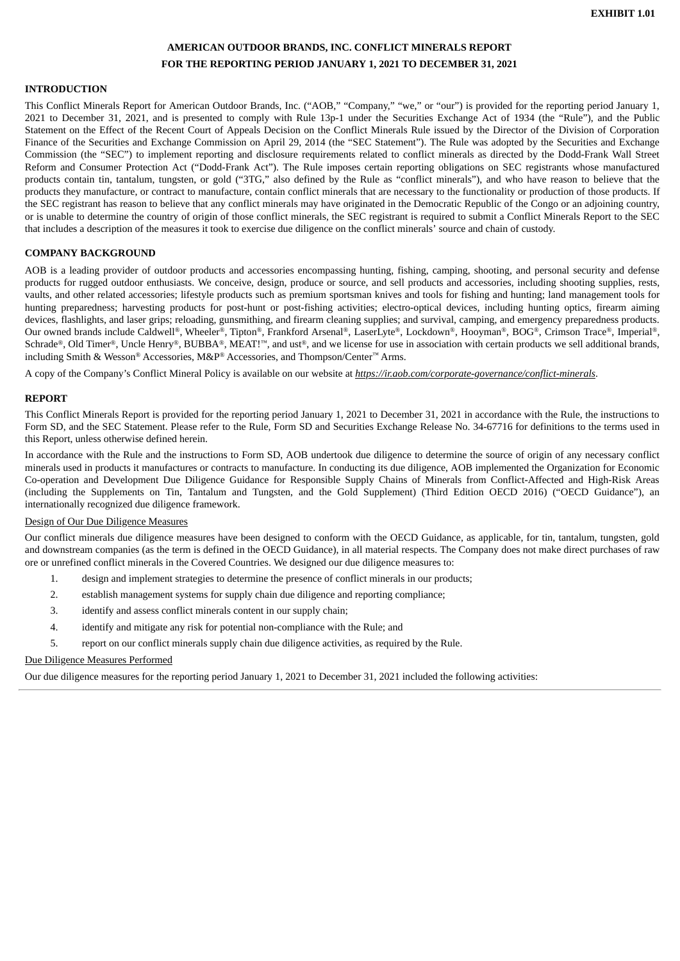# **AMERICAN OUTDOOR BRANDS, INC. CONFLICT MINERALS REPORT FOR THE REPORTING PERIOD JANUARY 1, 2021 TO DECEMBER 31, 2021**

#### <span id="page-3-0"></span>**INTRODUCTION**

This Conflict Minerals Report for American Outdoor Brands, Inc. ("AOB," "Company," "we," or "our") is provided for the reporting period January 1, 2021 to December 31, 2021, and is presented to comply with Rule 13p-1 under the Securities Exchange Act of 1934 (the "Rule"), and the Public Statement on the Effect of the Recent Court of Appeals Decision on the Conflict Minerals Rule issued by the Director of the Division of Corporation Finance of the Securities and Exchange Commission on April 29, 2014 (the "SEC Statement"). The Rule was adopted by the Securities and Exchange Commission (the "SEC") to implement reporting and disclosure requirements related to conflict minerals as directed by the Dodd-Frank Wall Street Reform and Consumer Protection Act ("Dodd-Frank Act"). The Rule imposes certain reporting obligations on SEC registrants whose manufactured products contain tin, tantalum, tungsten, or gold ("3TG," also defined by the Rule as "conflict minerals"), and who have reason to believe that the products they manufacture, or contract to manufacture, contain conflict minerals that are necessary to the functionality or production of those products. If the SEC registrant has reason to believe that any conflict minerals may have originated in the Democratic Republic of the Congo or an adjoining country, or is unable to determine the country of origin of those conflict minerals, the SEC registrant is required to submit a Conflict Minerals Report to the SEC that includes a description of the measures it took to exercise due diligence on the conflict minerals' source and chain of custody.

#### **COMPANY BACKGROUND**

AOB is a leading provider of outdoor products and accessories encompassing hunting, fishing, camping, shooting, and personal security and defense products for rugged outdoor enthusiasts. We conceive, design, produce or source, and sell products and accessories, including shooting supplies, rests, vaults, and other related accessories; lifestyle products such as premium sportsman knives and tools for fishing and hunting; land management tools for hunting preparedness; harvesting products for post-hunt or post-fishing activities; electro-optical devices, including hunting optics, firearm aiming devices, flashlights, and laser grips; reloading, gunsmithing, and firearm cleaning supplies; and survival, camping, and emergency preparedness products. Our owned brands include Caldwell®, Wheeler®, Tipton®, Frankford Arsenal®, LaserLyte®, Lockdown®, Hooyman®, BOG®, Crimson Trace®, Imperial®, Schrade®, Old Timer®, Uncle Henry®, BUBBA®, MEAT!™, and ust®, and we license for use in association with certain products we sell additional brands, including Smith & Wesson® Accessories, M&P® Accessories, and Thompson/Center™ Arms.

A copy of the Company's Conflict Mineral Policy is available on our website at *https://ir.aob.com/corporate-governance/conflict-minerals*.

#### **REPORT**

This Conflict Minerals Report is provided for the reporting period January 1, 2021 to December 31, 2021 in accordance with the Rule, the instructions to Form SD, and the SEC Statement. Please refer to the Rule, Form SD and Securities Exchange Release No. 34-67716 for definitions to the terms used in this Report, unless otherwise defined herein.

In accordance with the Rule and the instructions to Form SD, AOB undertook due diligence to determine the source of origin of any necessary conflict minerals used in products it manufactures or contracts to manufacture. In conducting its due diligence, AOB implemented the Organization for Economic Co-operation and Development Due Diligence Guidance for Responsible Supply Chains of Minerals from Conflict-Affected and High-Risk Areas (including the Supplements on Tin, Tantalum and Tungsten, and the Gold Supplement) (Third Edition OECD 2016) ("OECD Guidance"), an internationally recognized due diligence framework.

#### Design of Our Due Diligence Measures

Our conflict minerals due diligence measures have been designed to conform with the OECD Guidance, as applicable, for tin, tantalum, tungsten, gold and downstream companies (as the term is defined in the OECD Guidance), in all material respects. The Company does not make direct purchases of raw ore or unrefined conflict minerals in the Covered Countries. We designed our due diligence measures to:

- 1. design and implement strategies to determine the presence of conflict minerals in our products;
- 2. establish management systems for supply chain due diligence and reporting compliance;
- 3. identify and assess conflict minerals content in our supply chain;
- 4. identify and mitigate any risk for potential non-compliance with the Rule; and
- 5. report on our conflict minerals supply chain due diligence activities, as required by the Rule.

#### Due Diligence Measures Performed

Our due diligence measures for the reporting period January 1, 2021 to December 31, 2021 included the following activities: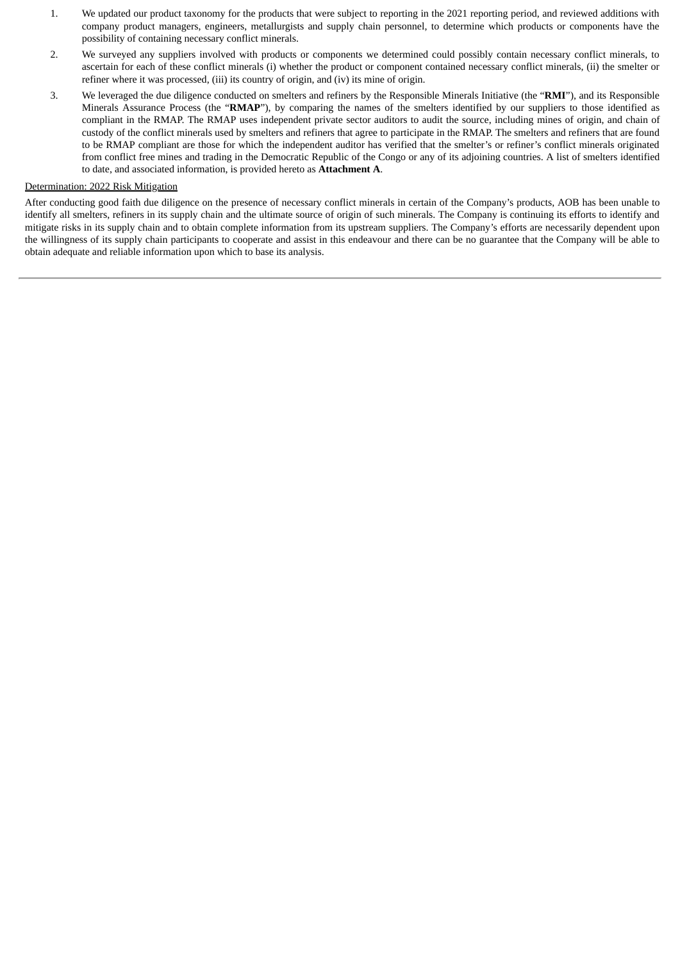- 1. We updated our product taxonomy for the products that were subject to reporting in the 2021 reporting period, and reviewed additions with company product managers, engineers, metallurgists and supply chain personnel, to determine which products or components have the possibility of containing necessary conflict minerals.
- 2. We surveyed any suppliers involved with products or components we determined could possibly contain necessary conflict minerals, to ascertain for each of these conflict minerals (i) whether the product or component contained necessary conflict minerals, (ii) the smelter or refiner where it was processed, (iii) its country of origin, and (iv) its mine of origin.
- 3. We leveraged the due diligence conducted on smelters and refiners by the Responsible Minerals Initiative (the "**RMI**"), and its Responsible Minerals Assurance Process (the "**RMAP**"), by comparing the names of the smelters identified by our suppliers to those identified as compliant in the RMAP. The RMAP uses independent private sector auditors to audit the source, including mines of origin, and chain of custody of the conflict minerals used by smelters and refiners that agree to participate in the RMAP. The smelters and refiners that are found to be RMAP compliant are those for which the independent auditor has verified that the smelter's or refiner's conflict minerals originated from conflict free mines and trading in the Democratic Republic of the Congo or any of its adjoining countries. A list of smelters identified to date, and associated information, is provided hereto as **Attachment A**.

## Determination: 2022 Risk Mitigation

After conducting good faith due diligence on the presence of necessary conflict minerals in certain of the Company's products, AOB has been unable to identify all smelters, refiners in its supply chain and the ultimate source of origin of such minerals. The Company is continuing its efforts to identify and mitigate risks in its supply chain and to obtain complete information from its upstream suppliers. The Company's efforts are necessarily dependent upon the willingness of its supply chain participants to cooperate and assist in this endeavour and there can be no guarantee that the Company will be able to obtain adequate and reliable information upon which to base its analysis.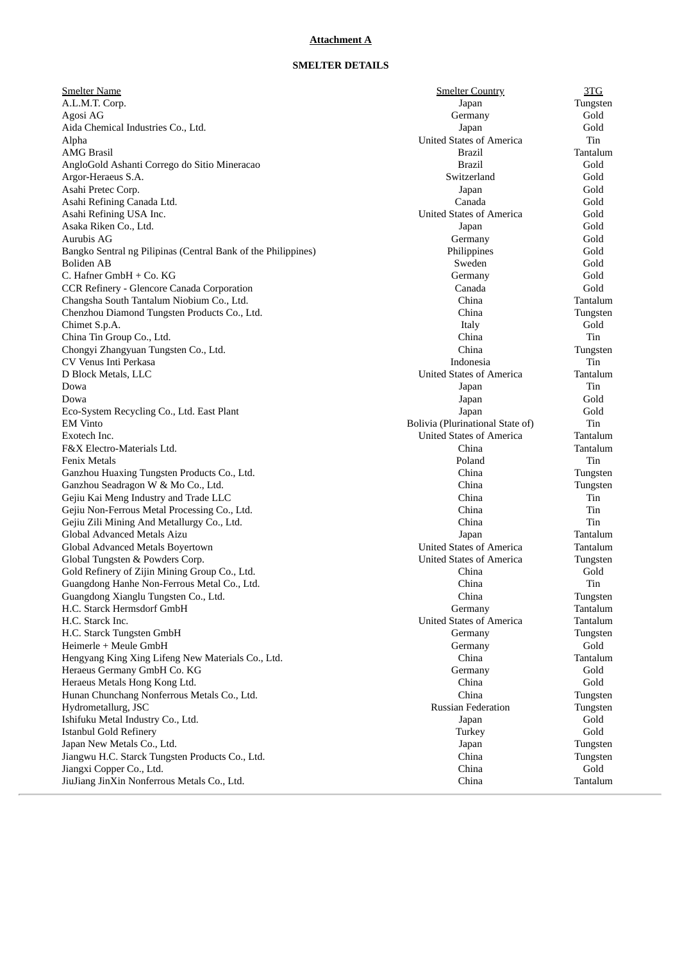## **Attachment A**

# **SMELTER DETAILS**

| <b>Smelter Name</b>                                           | <b>Smelter Country</b>           | 3TC      |
|---------------------------------------------------------------|----------------------------------|----------|
| A.L.M.T. Corp.                                                | Japan                            | Tungsten |
| Agosi AG                                                      | Germany                          | Gold     |
| Aida Chemical Industries Co., Ltd.                            | Japan                            | Gold     |
| Alpha                                                         | <b>United States of America</b>  | Tin      |
| <b>AMG Brasil</b>                                             | <b>Brazil</b>                    | Tantalum |
| AngloGold Ashanti Corrego do Sitio Mineracao                  | <b>Brazil</b>                    | Gold     |
| Argor-Heraeus S.A.                                            | Switzerland                      | Gold     |
| Asahi Pretec Corp.                                            | Japan                            | Gold     |
| Asahi Refining Canada Ltd.                                    | Canada                           | Gold     |
| Asahi Refining USA Inc.                                       | <b>United States of America</b>  | Gold     |
| Asaka Riken Co., Ltd.                                         | Japan                            | Gold     |
| Aurubis AG                                                    | Germany                          | Gold     |
| Bangko Sentral ng Pilipinas (Central Bank of the Philippines) | Philippines                      | Gold     |
| Boliden AB                                                    | Sweden                           | Gold     |
| C. Hafner GmbH + Co. KG                                       | Germany                          | Gold     |
| CCR Refinery - Glencore Canada Corporation                    | Canada                           | Gold     |
| Changsha South Tantalum Niobium Co., Ltd.                     | China                            | Tantalum |
| Chenzhou Diamond Tungsten Products Co., Ltd.                  | China                            | Tungsten |
| Chimet S.p.A.                                                 | Italy                            | Gold     |
| China Tin Group Co., Ltd.                                     | China                            | Tin      |
| Chongyi Zhangyuan Tungsten Co., Ltd.                          | China                            | Tungsten |
| CV Venus Inti Perkasa                                         | Indonesia                        | Tin      |
| D Block Metals, LLC                                           | <b>United States of America</b>  | Tantalum |
| Dowa                                                          | Japan                            | Tin      |
| Dowa                                                          | Japan                            | Gold     |
| Eco-System Recycling Co., Ltd. East Plant                     | Japan                            | Gold     |
| <b>EM</b> Vinto                                               | Bolivia (Plurinational State of) | Tin      |
| Exotech Inc.                                                  | <b>United States of America</b>  | Tantalum |
| F&X Electro-Materials Ltd.                                    | China                            | Tantalum |
| <b>Fenix Metals</b>                                           | Poland                           | Tin      |
| Ganzhou Huaxing Tungsten Products Co., Ltd.                   | China                            | Tungsten |
| Ganzhou Seadragon W & Mo Co., Ltd.                            | China                            | Tungsten |
| Gejiu Kai Meng Industry and Trade LLC                         | China                            | Tin      |
| Gejiu Non-Ferrous Metal Processing Co., Ltd.                  | China                            | Tin      |
| Gejiu Zili Mining And Metallurgy Co., Ltd.                    | China                            | Tin      |
| Global Advanced Metals Aizu                                   | Japan                            | Tantalum |
| Global Advanced Metals Boyertown                              | <b>United States of America</b>  | Tantalum |
| Global Tungsten & Powders Corp.                               | <b>United States of America</b>  | Tungsten |
| Gold Refinery of Zijin Mining Group Co., Ltd.                 | China                            | Gold     |
| Guangdong Hanhe Non-Ferrous Metal Co., Ltd.                   | China                            | Tin      |
| Guangdong Xianglu Tungsten Co., Ltd.                          | China                            | Tungsten |
| H.C. Starck Hermsdorf GmbH                                    | Germany                          | Tantalum |
| H.C. Starck Inc.                                              | <b>United States of America</b>  | Tantalum |
| H.C. Starck Tungsten GmbH                                     | Germany                          | Tungsten |
| Heimerle + Meule GmbH                                         | Germany                          | Gold     |
| Hengyang King Xing Lifeng New Materials Co., Ltd.             | China                            | Tantalum |
| Heraeus Germany GmbH Co. KG                                   | Germany                          | Gold     |
| Heraeus Metals Hong Kong Ltd.                                 | China                            | Gold     |
| Hunan Chunchang Nonferrous Metals Co., Ltd.                   | China                            | Tungsten |
| Hydrometallurg, JSC                                           | <b>Russian Federation</b>        | Tungsten |
| Ishifuku Metal Industry Co., Ltd.                             | Japan                            | Gold     |
| <b>Istanbul Gold Refinery</b>                                 | Turkey                           | Gold     |
| Japan New Metals Co., Ltd.                                    | Japan                            | Tungsten |
| Jiangwu H.C. Starck Tungsten Products Co., Ltd.               | China                            | Tungsten |
| Jiangxi Copper Co., Ltd.                                      | China                            | Gold     |
| JiuJiang JinXin Nonferrous Metals Co., Ltd.                   | China                            | Tantalum |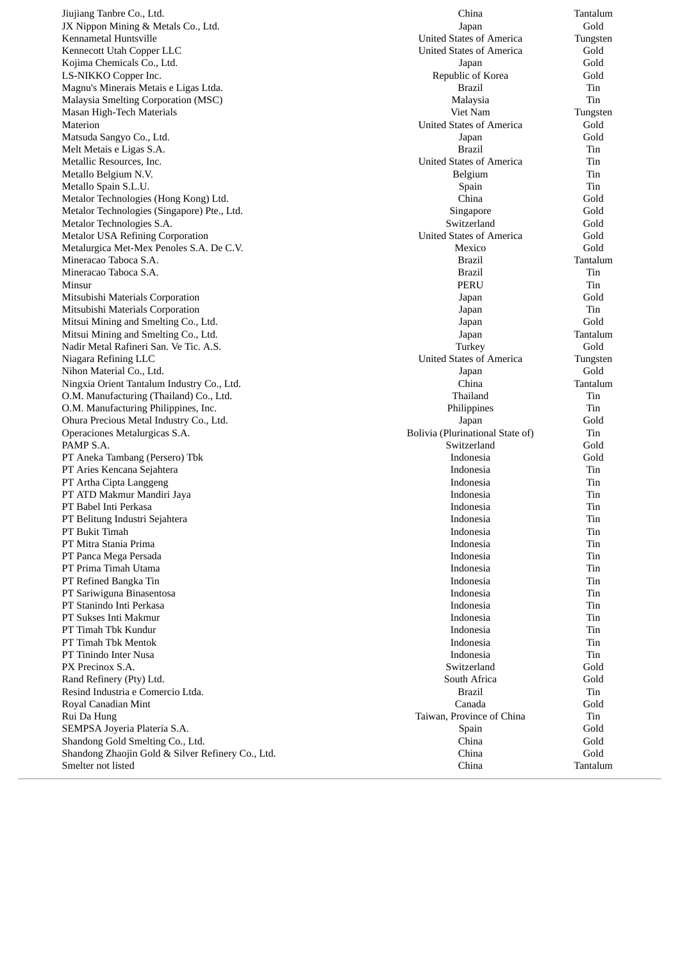Jiujiang Tanbre Co., Lt d. Channels are the contract of the contract of the contract of the contract of the contract of the contract of the contract of the contract of the contract of the contract of the contract of the contract of the contract o JX Nippon Mining & Metals Co., Lto Kennametal Huntsville Kennecott Utah Copper LLC Kojima Chemicals Co., Lto  $d.$  January  $J_{\alpha}$ LS-NIKKO Copper Ind c.  $Re$ Magnu's Minerais Metais e Ligas Ltda Malaysia Smelting Corporation (MSC) Masan High-Tech Materials Materion Matsuda Sangyo Co., Lto d. January 1986. The set of the set of the set of the set of the set of the set of the set of the set of the set of the set of the set of the set of the set of the set of the set of the set of the set of the set of the set Melt Metais e Ligas S.A. Br Metallic Resources, Ind c. Urgently the contract of the contract of the contract of the contract of the contract of the contract of the contract of the contract of the contract of the contract of the contract of the contract of the contract of th Metallo Belgium I  $N.V.$  Be Metallo Spain S.L.U. Specific that the set of the set of the set of the set of the set of the set of the set of the set of the set of the set of the set of the set of the set of the set of the set of the set of the set of the set of the Metalor Technologies (Hong Kong) Lto Metalor Technologies (Singapore) Pte., Lto Metalor Technologies S.A. Svetlands and Svetlands and Svetlands Svetlands and Svetlands and Svetlands Svetlands Svetlands and Svetlands Sv Metalor USA Refining Corporation Metalurgica Met-Mex Penoles S.A. De Mineracao Taboca S.A. Br Mineracao Taboca S.A. Br Minsur Mitsubishi Materials Corporation Mitsubishi Materials Corporation Mitsui Mining and Smelting Co., Lto Mitsui Mining and Smelting Co., Lto Nadir Metal Rafineri San. Ve Tic. A.S. Turners are a state of the state of the state of the state of the state Niagara Refining LLC Nihon Material Co., Lto d. Solution of the set of the set of the set of the set of the set of the set of the set of the set of the set of the set of the set of the set of the set of the set of the set of the set of the set of the set of the set o Ningxia Orient Tantalum Industry Co., Lto O.M. Manufacturing (Thailand) Co., Lto O.M. Manufacturing Philippines, Ind Ohura Precious Metal Industry Co., Lto Operaciones Metalurgicas S.A. Box PA M P S.A. Solution of the state of the state state state state state state state state state state state state state state state state state state state state state state state state state state state state state state state st PT Aneka Tambang (Persero) Tbk PT Aries Kencana Sejahtera PT Artha Cipta Langgeng PT ATD Makmur Mandiri Jaya PT Babel Inti Perkasa PT Belitung Industri Sejahtera PT Bukit Timah PT Mitra Stania Prima PT Panca Mega Persada PT Prima Timah Utama PT Refined Bangka Tin PT Sariwiguna Binasentosa PT Stanindo Inti Perkasa PT Sukses Inti Makmur PT Timah Tbk Kundur PT Timah Tbk Mentok PT Tinindo Inter Nusa PX Precinox S.A. Solution St. Rand Refinery (Pty) Ltd d. So shows that the set of the set of the set of the set of the set of the set of the set of the set of the set of the set of the set of the set of the set of the set of the set of the set of the set of the set of the set Resind Industria e Comercio Ltda Royal Canadian Mint Rui Da Hung SEMPSA Joyeria Plateria S.A. Special set of the set of the set of the set of the set of the set of the set of the set of the set of the set of the set of the set of the set of the set of the set of the set of the set of the set of the set of the Shandong Gold Smelting Co., Lto Shandong Zhaojin Gold & Silver Refinery Co., Lto Smelter not listed

|                      | China                            | Tantalum |  |
|----------------------|----------------------------------|----------|--|
| ., Ltd.              | Japan                            | Gold     |  |
|                      | <b>United States of America</b>  | Tungsten |  |
|                      | <b>United States of America</b>  | Gold     |  |
|                      | Japan                            | Gold     |  |
|                      | Republic of Korea                | Gold     |  |
| s Ltda.              | <b>Brazil</b>                    | Tin      |  |
|                      |                                  |          |  |
| MSC)                 | Malaysia                         | Tin      |  |
|                      | Viet Nam                         | Tungsten |  |
|                      | <b>United States of America</b>  | Gold     |  |
|                      | Japan                            | Gold     |  |
|                      | <b>Brazil</b>                    | Tin      |  |
|                      | <b>United States of America</b>  | Tin      |  |
|                      | Belgium                          | Tin      |  |
|                      | Spain                            | Tin      |  |
| ng) Ltd.             | China                            | Gold     |  |
| e) Pte., Ltd.        | Singapore                        | Gold     |  |
|                      | Switzerland                      | Gold     |  |
|                      |                                  |          |  |
| ion                  | <b>United States of America</b>  | Gold     |  |
| .A. De C.V.          | Mexico                           | Gold     |  |
|                      | <b>Brazil</b>                    | Tantalum |  |
|                      | <b>Brazil</b>                    | Tin      |  |
|                      | <b>PERU</b>                      | Tin      |  |
| ı                    | Japan                            | Gold     |  |
| ı                    | Japan                            | Tin      |  |
| Ltd.                 | Japan                            | Gold     |  |
| , Ltd.               | Japan                            | Tantalum |  |
| : A.S.               | Turkey                           | Gold     |  |
|                      | <b>United States of America</b>  |          |  |
|                      |                                  | Tungsten |  |
|                      | Japan                            | Gold     |  |
| y Co., Ltd.          | China                            | Tantalum |  |
| Co., Ltd.            | Thailand                         | Tin      |  |
| , Inc.               | Philippines                      | Tin      |  |
| .o., Ltd.            | Japan                            | Gold     |  |
|                      | Bolivia (Plurinational State of) | Tin      |  |
|                      | Switzerland                      | Gold     |  |
| ιk                   | Indonesia                        | Gold     |  |
|                      | Indonesia                        | Tin      |  |
|                      | Indonesia                        | Tin      |  |
|                      |                                  |          |  |
|                      | Indonesia                        | Tin      |  |
|                      | Indonesia                        | Tin      |  |
|                      | Indonesia                        | Tin      |  |
|                      | Indonesia                        | Tin      |  |
|                      | Indonesia                        | Tin      |  |
|                      | Indonesia                        | Tin      |  |
|                      | Indonesia                        | Tin      |  |
|                      | Indonesia                        | Tin      |  |
|                      | Indonesia                        | Tin      |  |
|                      | Indonesia                        | Tin      |  |
|                      | Indonesia                        | Tin      |  |
|                      |                                  |          |  |
|                      | Indonesia                        | Tin      |  |
|                      | Indonesia                        | Tin      |  |
|                      | Indonesia                        | Tin      |  |
|                      | Switzerland                      | Gold     |  |
|                      | South Africa                     | Gold     |  |
| a.                   | <b>Brazil</b>                    | Tin      |  |
|                      | Canada                           | Gold     |  |
|                      | Taiwan, Province of China        | Tin      |  |
|                      | Spain                            | Gold     |  |
|                      |                                  |          |  |
| d.                   | China                            | Gold     |  |
| r Refinery Co., Ltd. | China                            | Gold     |  |
|                      | China                            | Tantalum |  |
|                      |                                  |          |  |